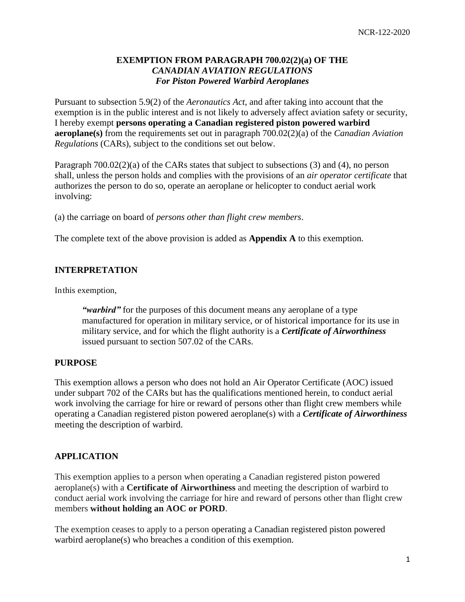## **EXEMPTION FROM PARAGRAPH 700.02(2)(a) OF THE**  *CANADIAN AVIATION REGULATIONS For Piston Powered Warbird Aeroplanes*

Pursuant to subsection 5.9(2) of the *Aeronautics Act,* and after taking into account that the exemption is in the public interest and is not likely to adversely affect aviation safety or security, I hereby exempt **persons operating a Canadian registered piston powered warbird aeroplane(s)** from the requirements set out in paragraph 700.02(2)(a) of the *Canadian Aviation Regulations* (CARs), subject to the conditions set out below.

Paragraph 700.02(2)(a) of the CARs states that subject to subsections (3) and (4), no person shall, unless the person holds and complies with the provisions of an *air operator certificate* that authorizes the person to do so, operate an aeroplane or helicopter to conduct aerial work involving:

(a) the carriage on board of *persons other than flight crew members*.

The complete text of the above provision is added as **Appendix A** to this exemption.

### **INTERPRETATION**

Inthis exemption,

*"warbird"* for the purposes of this document means any aeroplane of a type manufactured for operation in military service, or of historical importance for its use in military service, and for which the flight authority is a *Certificate of Airworthiness* issued pursuant to section 507.02 of the CARs.

#### **PURPOSE**

This exemption allows a person who does not hold an Air Operator Certificate (AOC) issued under subpart 702 of the CARs but has the qualifications mentioned herein, to conduct aerial work involving the carriage for hire or reward of persons other than flight crew members while operating a Canadian registered piston powered aeroplane(s) with a *Certificate of Airworthiness*  meeting the description of warbird.

#### **APPLICATION**

This exemption applies to a person when operating a Canadian registered piston powered aeroplane(s) with a **Certificate of Airworthiness** and meeting the description of warbird to conduct aerial work involving the carriage for hire and reward of persons other than flight crew members **without holding an AOC or PORD**.

The exemption ceases to apply to a person operating a Canadian registered piston powered warbird aeroplane(s) who breaches a condition of this exemption.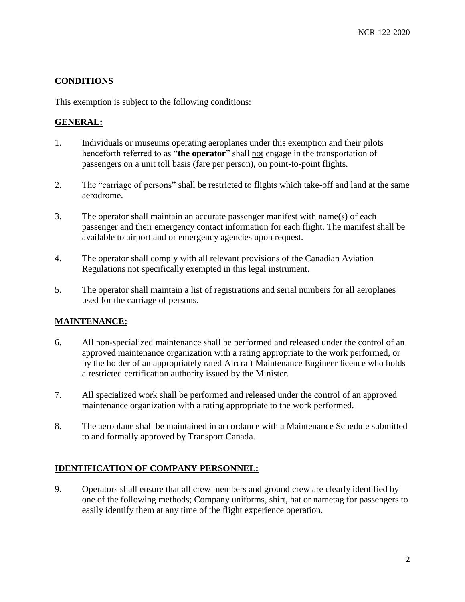# **CONDITIONS**

This exemption is subject to the following conditions:

# **GENERAL:**

- 1. Individuals or museums operating aeroplanes under this exemption and their pilots henceforth referred to as "**the operator**" shall not engage in the transportation of passengers on a unit toll basis (fare per person), on point-to-point flights.
- 2. The "carriage of persons" shall be restricted to flights which take-off and land at the same aerodrome.
- 3. The operator shall maintain an accurate passenger manifest with name(s) of each passenger and their emergency contact information for each flight. The manifest shall be available to airport and or emergency agencies upon request.
- 4. The operator shall comply with all relevant provisions of the Canadian Aviation Regulations not specifically exempted in this legal instrument.
- 5. The operator shall maintain a list of registrations and serial numbers for all aeroplanes used for the carriage of persons.

## **MAINTENANCE:**

- 6. All non-specialized maintenance shall be performed and released under the control of an approved maintenance organization with a rating appropriate to the work performed, or by the holder of an appropriately rated Aircraft Maintenance Engineer licence who holds a restricted certification authority issued by the Minister.
- 7. All specialized work shall be performed and released under the control of an approved maintenance organization with a rating appropriate to the work performed.
- 8. The aeroplane shall be maintained in accordance with a Maintenance Schedule submitted to and formally approved by Transport Canada.

## **IDENTIFICATION OF COMPANY PERSONNEL:**

9. Operators shall ensure that all crew members and ground crew are clearly identified by one of the following methods; Company uniforms, shirt, hat or nametag for passengers to easily identify them at any time of the flight experience operation.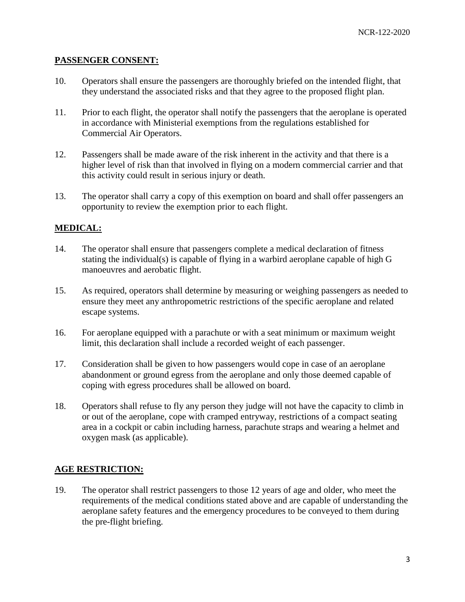### **PASSENGER CONSENT:**

- 10. Operators shall ensure the passengers are thoroughly briefed on the intended flight, that they understand the associated risks and that they agree to the proposed flight plan.
- 11. Prior to each flight, the operator shall notify the passengers that the aeroplane is operated in accordance with Ministerial exemptions from the regulations established for Commercial Air Operators.
- 12. Passengers shall be made aware of the risk inherent in the activity and that there is a higher level of risk than that involved in flying on a modern commercial carrier and that this activity could result in serious injury or death.
- 13. The operator shall carry a copy of this exemption on board and shall offer passengers an opportunity to review the exemption prior to each flight.

## **MEDICAL:**

- 14. The operator shall ensure that passengers complete a medical declaration of fitness stating the individual(s) is capable of flying in a warbird aeroplane capable of high G manoeuvres and aerobatic flight.
- 15. As required, operators shall determine by measuring or weighing passengers as needed to ensure they meet any anthropometric restrictions of the specific aeroplane and related escape systems.
- 16. For aeroplane equipped with a parachute or with a seat minimum or maximum weight limit, this declaration shall include a recorded weight of each passenger.
- 17. Consideration shall be given to how passengers would cope in case of an aeroplane abandonment or ground egress from the aeroplane and only those deemed capable of coping with egress procedures shall be allowed on board.
- 18. Operators shall refuse to fly any person they judge will not have the capacity to climb in or out of the aeroplane, cope with cramped entryway, restrictions of a compact seating area in a cockpit or cabin including harness, parachute straps and wearing a helmet and oxygen mask (as applicable).

## **AGE RESTRICTION:**

19. The operator shall restrict passengers to those 12 years of age and older, who meet the requirements of the medical conditions stated above and are capable of understanding the aeroplane safety features and the emergency procedures to be conveyed to them during the pre-flight briefing.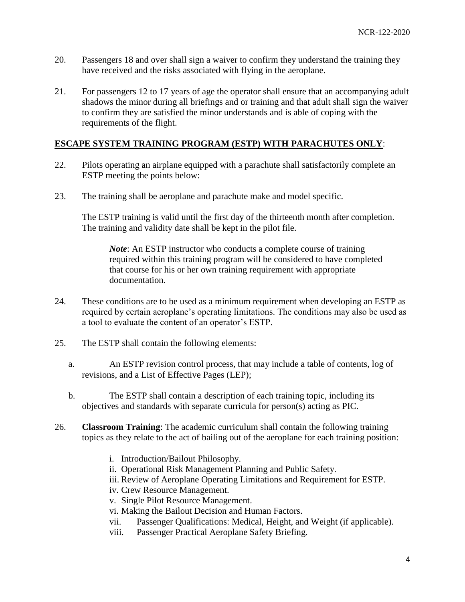- 20. Passengers 18 and over shall sign a waiver to confirm they understand the training they have received and the risks associated with flying in the aeroplane.
- 21. For passengers 12 to 17 years of age the operator shall ensure that an accompanying adult shadows the minor during all briefings and or training and that adult shall sign the waiver to confirm they are satisfied the minor understands and is able of coping with the requirements of the flight.

# **ESCAPE SYSTEM TRAINING PROGRAM (ESTP) WITH PARACHUTES ONLY**:

- 22. Pilots operating an airplane equipped with a parachute shall satisfactorily complete an ESTP meeting the points below:
- 23. The training shall be aeroplane and parachute make and model specific.

The ESTP training is valid until the first day of the thirteenth month after completion. The training and validity date shall be kept in the pilot file.

*Note*: An ESTP instructor who conducts a complete course of training required within this training program will be considered to have completed that course for his or her own training requirement with appropriate documentation.

- 24. These conditions are to be used as a minimum requirement when developing an ESTP as required by certain aeroplane's operating limitations. The conditions may also be used as a tool to evaluate the content of an operator's ESTP.
- 25. The ESTP shall contain the following elements:
	- a. An ESTP revision control process, that may include a table of contents, log of revisions, and a List of Effective Pages (LEP);
	- b. The ESTP shall contain a description of each training topic, including its objectives and standards with separate curricula for person(s) acting as PIC.
- 26. **Classroom Training**: The academic curriculum shall contain the following training topics as they relate to the act of bailing out of the aeroplane for each training position:
	- i. Introduction/Bailout Philosophy.
	- ii. Operational Risk Management Planning and Public Safety.
	- iii. Review of Aeroplane Operating Limitations and Requirement for ESTP.
	- iv. Crew Resource Management.
	- v. Single Pilot Resource Management.
	- vi. Making the Bailout Decision and Human Factors.
	- vii. Passenger Qualifications: Medical, Height, and Weight (if applicable).
	- viii. Passenger Practical Aeroplane Safety Briefing.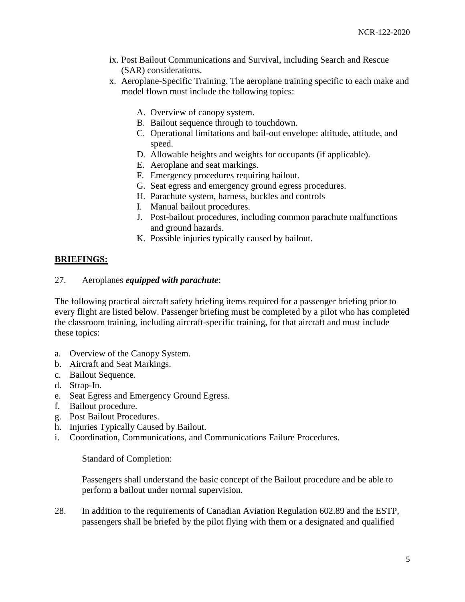- ix. Post Bailout Communications and Survival, including Search and Rescue (SAR) considerations.
- x. Aeroplane-Specific Training. The aeroplane training specific to each make and model flown must include the following topics:
	- A. Overview of canopy system.
	- B. Bailout sequence through to touchdown.
	- C. Operational limitations and bail-out envelope: altitude, attitude, and speed.
	- D. Allowable heights and weights for occupants (if applicable).
	- E. Aeroplane and seat markings.
	- F. Emergency procedures requiring bailout.
	- G. Seat egress and emergency ground egress procedures.
	- H. Parachute system, harness, buckles and controls
	- I. Manual bailout procedures.
	- J. Post-bailout procedures, including common parachute malfunctions and ground hazards.
	- K. Possible injuries typically caused by bailout.

## **BRIEFINGS:**

#### 27. Aeroplanes *equipped with parachute*:

The following practical aircraft safety briefing items required for a passenger briefing prior to every flight are listed below. Passenger briefing must be completed by a pilot who has completed the classroom training, including aircraft-specific training, for that aircraft and must include these topics:

- a. Overview of the Canopy System.
- b. Aircraft and Seat Markings.
- c. Bailout Sequence.
- d. Strap-In.
- e. Seat Egress and Emergency Ground Egress.
- f. Bailout procedure.
- g. Post Bailout Procedures.
- h. Injuries Typically Caused by Bailout.
- i. Coordination, Communications, and Communications Failure Procedures.

#### Standard of Completion:

Passengers shall understand the basic concept of the Bailout procedure and be able to perform a bailout under normal supervision.

28. In addition to the requirements of Canadian Aviation Regulation 602.89 and the ESTP, passengers shall be briefed by the pilot flying with them or a designated and qualified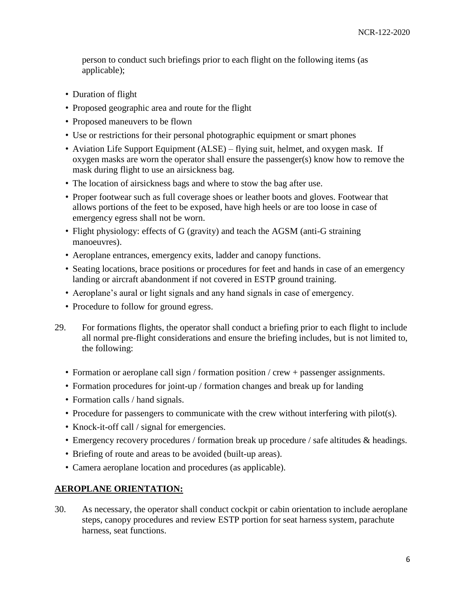person to conduct such briefings prior to each flight on the following items (as applicable);

- Duration of flight
- Proposed geographic area and route for the flight
- Proposed maneuvers to be flown
- Use or restrictions for their personal photographic equipment or smart phones
- Aviation Life Support Equipment (ALSE) flying suit, helmet, and oxygen mask. If oxygen masks are worn the operator shall ensure the passenger(s) know how to remove the mask during flight to use an airsickness bag.
- The location of airsickness bags and where to stow the bag after use.
- Proper footwear such as full coverage shoes or leather boots and gloves. Footwear that allows portions of the feet to be exposed, have high heels or are too loose in case of emergency egress shall not be worn.
- Flight physiology: effects of G (gravity) and teach the AGSM (anti-G straining manoeuvres).
- Aeroplane entrances, emergency exits, ladder and canopy functions.
- Seating locations, brace positions or procedures for feet and hands in case of an emergency landing or aircraft abandonment if not covered in ESTP ground training.
- Aeroplane's aural or light signals and any hand signals in case of emergency.
- Procedure to follow for ground egress.
- 29. For formations flights, the operator shall conduct a briefing prior to each flight to include all normal pre-flight considerations and ensure the briefing includes, but is not limited to, the following:
	- Formation or aeroplane call sign / formation position / crew + passenger assignments.
	- Formation procedures for joint-up / formation changes and break up for landing
	- Formation calls / hand signals.
	- Procedure for passengers to communicate with the crew without interfering with pilot(s).
	- Knock-it-off call / signal for emergencies.
	- Emergency recovery procedures / formation break up procedure / safe altitudes & headings.
	- Briefing of route and areas to be avoided (built-up areas).
	- Camera aeroplane location and procedures (as applicable).

# **AEROPLANE ORIENTATION:**

30. As necessary, the operator shall conduct cockpit or cabin orientation to include aeroplane steps, canopy procedures and review ESTP portion for seat harness system, parachute harness, seat functions.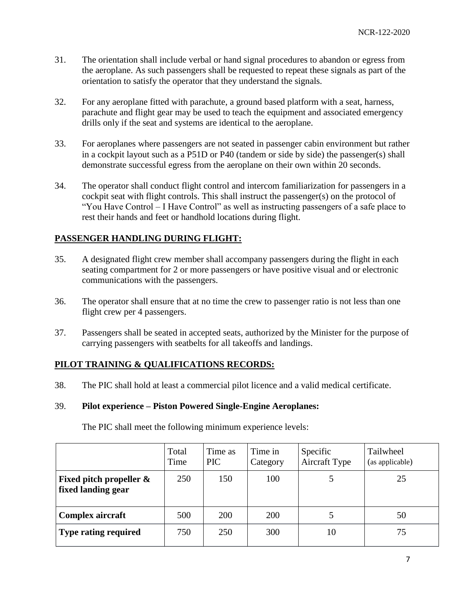- 31. The orientation shall include verbal or hand signal procedures to abandon or egress from the aeroplane. As such passengers shall be requested to repeat these signals as part of the orientation to satisfy the operator that they understand the signals.
- 32. For any aeroplane fitted with parachute, a ground based platform with a seat, harness, parachute and flight gear may be used to teach the equipment and associated emergency drills only if the seat and systems are identical to the aeroplane.
- 33. For aeroplanes where passengers are not seated in passenger cabin environment but rather in a cockpit layout such as a P51D or P40 (tandem or side by side) the passenger(s) shall demonstrate successful egress from the aeroplane on their own within 20 seconds.
- 34. The operator shall conduct flight control and intercom familiarization for passengers in a cockpit seat with flight controls. This shall instruct the passenger(s) on the protocol of "You Have Control – I Have Control" as well as instructing passengers of a safe place to rest their hands and feet or handhold locations during flight.

## **PASSENGER HANDLING DURING FLIGHT:**

- 35. A designated flight crew member shall accompany passengers during the flight in each seating compartment for 2 or more passengers or have positive visual and or electronic communications with the passengers.
- 36. The operator shall ensure that at no time the crew to passenger ratio is not less than one flight crew per 4 passengers.
- 37. Passengers shall be seated in accepted seats, authorized by the Minister for the purpose of carrying passengers with seatbelts for all takeoffs and landings.

## **PILOT TRAINING & QUALIFICATIONS RECORDS:**

38. The PIC shall hold at least a commercial pilot licence and a valid medical certificate.

#### 39. **Pilot experience – Piston Powered Single-Engine Aeroplanes:**

The PIC shall meet the following minimum experience levels:

|                                                  | Total<br>Time | Time as<br><b>PIC</b> | Time in<br>Category | Specific<br>Aircraft Type | Tailwheel<br>(as applicable) |
|--------------------------------------------------|---------------|-----------------------|---------------------|---------------------------|------------------------------|
| Fixed pitch propeller $\&$<br>fixed landing gear | 250           | 150                   | 100                 |                           | 25                           |
| Complex aircraft                                 | 500           | 200                   | 200                 |                           | 50                           |
| <b>Type rating required</b>                      | 750           | 250                   | 300                 | 10                        | 75                           |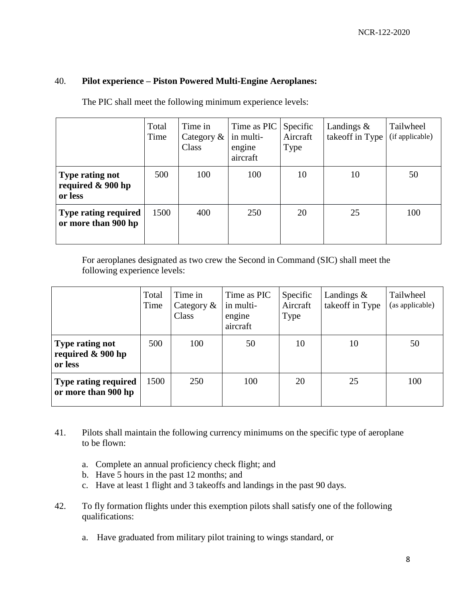### 40. **Pilot experience – Piston Powered Multi-Engine Aeroplanes:**

|  | The PIC shall meet the following minimum experience levels: |
|--|-------------------------------------------------------------|

|                                                           | Total<br>Time | Time in<br>Category $\&$<br>Class | Time as PIC<br>in multi-<br>engine<br>aircraft | Specific<br>Aircraft<br>Type | Landings $\&$<br>takeoff in Type | Tailwheel<br>(if applicable) |
|-----------------------------------------------------------|---------------|-----------------------------------|------------------------------------------------|------------------------------|----------------------------------|------------------------------|
| <b>Type rating not</b><br>required $\&$ 900 hp<br>or less | 500           | 100                               | 100                                            | 10                           | 10                               | 50                           |
| <b>Type rating required</b><br>or more than 900 hp        | 1500          | 400                               | 250                                            | 20                           | 25                               | 100                          |

For aeroplanes designated as two crew the Second in Command (SIC) shall meet the following experience levels:

|                                                           | Total<br>Time | Time in<br>Category $\&$<br>Class | Time as PIC<br>in multi-<br>engine<br>aircraft | Specific<br>Aircraft<br>Type | Landings $\&$<br>takeoff in Type | Tailwheel<br>(as applicable) |
|-----------------------------------------------------------|---------------|-----------------------------------|------------------------------------------------|------------------------------|----------------------------------|------------------------------|
| <b>Type rating not</b><br>required $\&$ 900 hp<br>or less | 500           | 100                               | 50                                             | 10                           | 10                               | 50                           |
| <b>Type rating required</b><br>or more than 900 hp        | 1500          | 250                               | 100                                            | 20                           | 25                               | 100                          |

- 41. Pilots shall maintain the following currency minimums on the specific type of aeroplane to be flown:
	- a. Complete an annual proficiency check flight; and
	- b. Have 5 hours in the past 12 months; and
	- c. Have at least 1 flight and 3 takeoffs and landings in the past 90 days.
- 42. To fly formation flights under this exemption pilots shall satisfy one of the following qualifications:
	- a. Have graduated from military pilot training to wings standard, or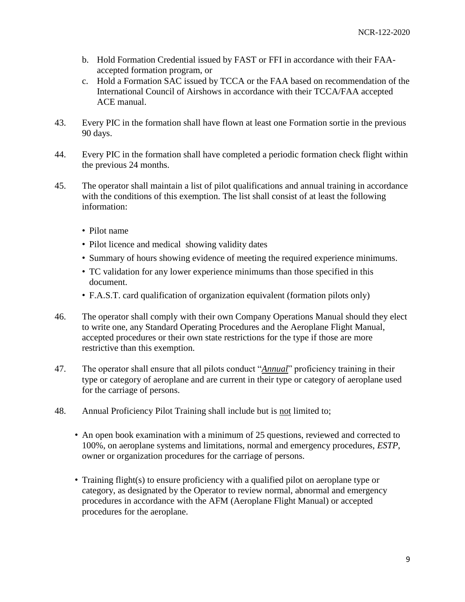- b. Hold Formation Credential issued by FAST or FFI in accordance with their FAAaccepted formation program, or
- c. Hold a Formation SAC issued by TCCA or the FAA based on recommendation of the International Council of Airshows in accordance with their TCCA/FAA accepted ACE manual.
- 43. Every PIC in the formation shall have flown at least one Formation sortie in the previous 90 days.
- 44. Every PIC in the formation shall have completed a periodic formation check flight within the previous 24 months.
- 45. The operator shall maintain a list of pilot qualifications and annual training in accordance with the conditions of this exemption. The list shall consist of at least the following information:
	- Pilot name
	- Pilot licence and medical showing validity dates
	- Summary of hours showing evidence of meeting the required experience minimums.
	- TC validation for any lower experience minimums than those specified in this document.
	- F.A.S.T. card qualification of organization equivalent (formation pilots only)
- 46. The operator shall comply with their own Company Operations Manual should they elect to write one, any Standard Operating Procedures and the Aeroplane Flight Manual, accepted procedures or their own state restrictions for the type if those are more restrictive than this exemption.
- 47. The operator shall ensure that all pilots conduct "*Annual*" proficiency training in their type or category of aeroplane and are current in their type or category of aeroplane used for the carriage of persons.
- 48. Annual Proficiency Pilot Training shall include but is not limited to;
	- An open book examination with a minimum of 25 questions, reviewed and corrected to 100%, on aeroplane systems and limitations, normal and emergency procedures, *ESTP*, owner or organization procedures for the carriage of persons.
	- Training flight(s) to ensure proficiency with a qualified pilot on aeroplane type or category, as designated by the Operator to review normal, abnormal and emergency procedures in accordance with the AFM (Aeroplane Flight Manual) or accepted procedures for the aeroplane.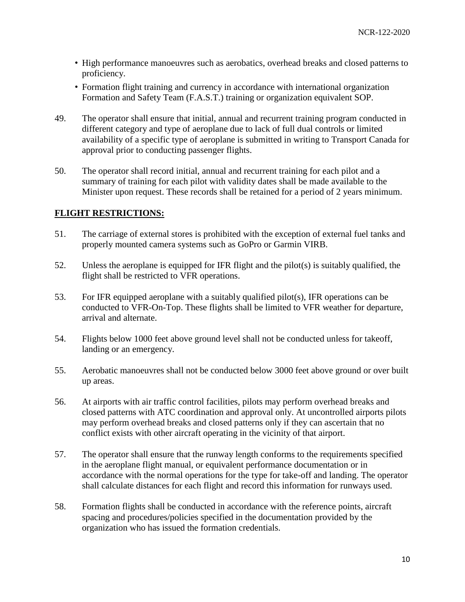- High performance manoeuvres such as aerobatics, overhead breaks and closed patterns to proficiency.
- Formation flight training and currency in accordance with international organization Formation and Safety Team (F.A.S.T.) training or organization equivalent SOP.
- 49. The operator shall ensure that initial, annual and recurrent training program conducted in different category and type of aeroplane due to lack of full dual controls or limited availability of a specific type of aeroplane is submitted in writing to Transport Canada for approval prior to conducting passenger flights.
- 50. The operator shall record initial, annual and recurrent training for each pilot and a summary of training for each pilot with validity dates shall be made available to the Minister upon request. These records shall be retained for a period of 2 years minimum.

## **FLIGHT RESTRICTIONS:**

- 51. The carriage of external stores is prohibited with the exception of external fuel tanks and properly mounted camera systems such as GoPro or Garmin VIRB.
- 52. Unless the aeroplane is equipped for IFR flight and the pilot(s) is suitably qualified, the flight shall be restricted to VFR operations.
- 53. For IFR equipped aeroplane with a suitably qualified pilot(s), IFR operations can be conducted to VFR-On-Top. These flights shall be limited to VFR weather for departure, arrival and alternate.
- 54. Flights below 1000 feet above ground level shall not be conducted unless for takeoff, landing or an emergency.
- 55. Aerobatic manoeuvres shall not be conducted below 3000 feet above ground or over built up areas.
- 56. At airports with air traffic control facilities, pilots may perform overhead breaks and closed patterns with ATC coordination and approval only. At uncontrolled airports pilots may perform overhead breaks and closed patterns only if they can ascertain that no conflict exists with other aircraft operating in the vicinity of that airport.
- 57. The operator shall ensure that the runway length conforms to the requirements specified in the aeroplane flight manual, or equivalent performance documentation or in accordance with the normal operations for the type for take-off and landing. The operator shall calculate distances for each flight and record this information for runways used.
- 58. Formation flights shall be conducted in accordance with the reference points, aircraft spacing and procedures/policies specified in the documentation provided by the organization who has issued the formation credentials.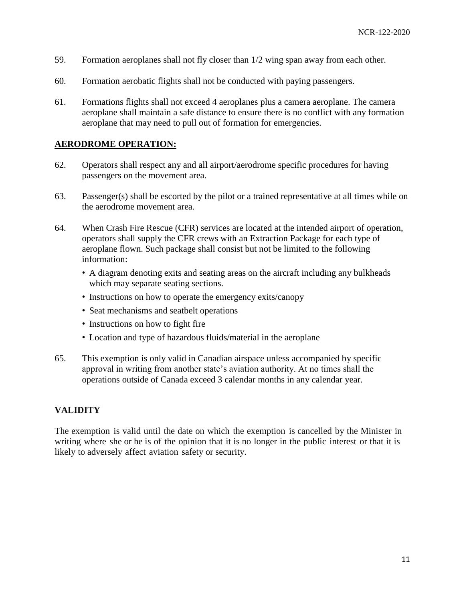- 59. Formation aeroplanes shall not fly closer than 1/2 wing span away from each other.
- 60. Formation aerobatic flights shall not be conducted with paying passengers.
- 61. Formations flights shall not exceed 4 aeroplanes plus a camera aeroplane. The camera aeroplane shall maintain a safe distance to ensure there is no conflict with any formation aeroplane that may need to pull out of formation for emergencies.

#### **AERODROME OPERATION:**

- 62. Operators shall respect any and all airport/aerodrome specific procedures for having passengers on the movement area.
- 63. Passenger(s) shall be escorted by the pilot or a trained representative at all times while on the aerodrome movement area.
- 64. When Crash Fire Rescue (CFR) services are located at the intended airport of operation, operators shall supply the CFR crews with an Extraction Package for each type of aeroplane flown. Such package shall consist but not be limited to the following information:
	- A diagram denoting exits and seating areas on the aircraft including any bulkheads which may separate seating sections.
	- Instructions on how to operate the emergency exits/canopy
	- Seat mechanisms and seatbelt operations
	- Instructions on how to fight fire
	- Location and type of hazardous fluids/material in the aeroplane
- 65. This exemption is only valid in Canadian airspace unless accompanied by specific approval in writing from another state's aviation authority. At no times shall the operations outside of Canada exceed 3 calendar months in any calendar year.

## **VALIDITY**

The exemption is valid until the date on which the exemption is cancelled by the Minister in writing where she or he is of the opinion that it is no longer in the public interest or that it is likely to adversely affect aviation safety or security.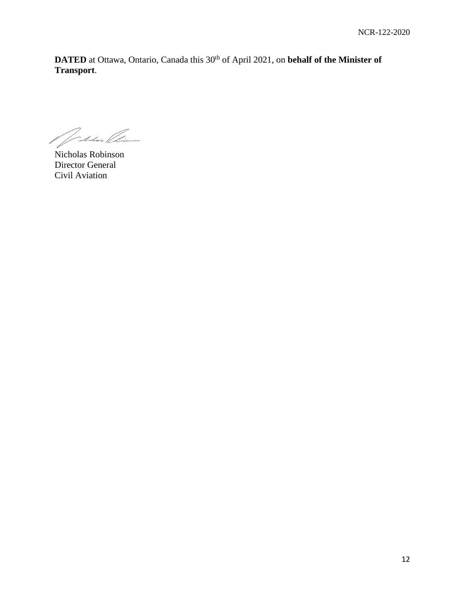**DATED** at Ottawa, Ontario, Canada this 30<sup>th</sup> of April 2021, on **behalf of the Minister of Transport**.

Matan Clin

Nicholas Robinson Director General Civil Aviation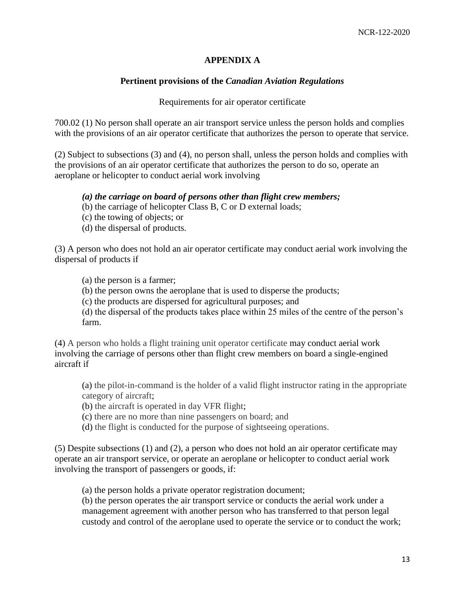## **APPENDIX A**

### **Pertinent provisions of the** *Canadian Aviation Regulations*

#### Requirements for air operator certificate

700.02 (1) No person shall operate an air transport service unless the person holds and complies with the provisions of an air operator certificate that authorizes the person to operate that service.

(2) Subject to subsections (3) and (4), no person shall, unless the person holds and complies with the provisions of an air operator certificate that authorizes the person to do so, operate an aeroplane or helicopter to conduct aerial work involving

#### *(a) the carriage on board of persons other than flight crew members;*

- (b) the carriage of helicopter Class B, C or D external loads;
- (c) the towing of objects; or
- (d) the dispersal of products.

(3) A person who does not hold an air operator certificate may conduct aerial work involving the dispersal of products if

(a) the person is a farmer;

(b) the person owns the aeroplane that is used to disperse the products;

(c) the products are dispersed for agricultural purposes; and

(d) the dispersal of the products takes place within 25 miles of the centre of the person's farm.

(4) A person who holds a flight training unit operator certificate may conduct aerial work involving the carriage of persons other than flight crew members on board a single-engined aircraft if

(a) the pilot-in-command is the holder of a valid flight instructor rating in the appropriate category of aircraft;

(b) the aircraft is operated in day VFR flight;

(c) there are no more than nine passengers on board; and

(d) the flight is conducted for the purpose of sightseeing operations.

(5) Despite subsections (1) and (2), a person who does not hold an air operator certificate may operate an air transport service, or operate an aeroplane or helicopter to conduct aerial work involving the transport of passengers or goods, if:

(a) the person holds a private operator registration document;

(b) the person operates the air transport service or conducts the aerial work under a management agreement with another person who has transferred to that person legal custody and control of the aeroplane used to operate the service or to conduct the work;